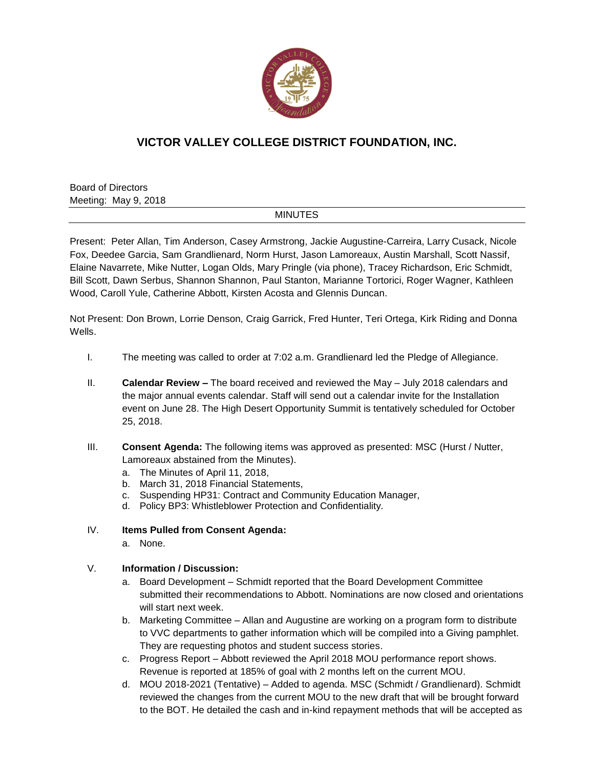

## **VICTOR VALLEY COLLEGE DISTRICT FOUNDATION, INC.**

Board of Directors Meeting: May 9, 2018

## MINUTES

Present: Peter Allan, Tim Anderson, Casey Armstrong, Jackie Augustine-Carreira, Larry Cusack, Nicole Fox, Deedee Garcia, Sam Grandlienard, Norm Hurst, Jason Lamoreaux, Austin Marshall, Scott Nassif, Elaine Navarrete, Mike Nutter, Logan Olds, Mary Pringle (via phone), Tracey Richardson, Eric Schmidt, Bill Scott, Dawn Serbus, Shannon Shannon, Paul Stanton, Marianne Tortorici, Roger Wagner, Kathleen Wood, Caroll Yule, Catherine Abbott, Kirsten Acosta and Glennis Duncan.

Not Present: Don Brown, Lorrie Denson, Craig Garrick, Fred Hunter, Teri Ortega, Kirk Riding and Donna Wells.

- I. The meeting was called to order at 7:02 a.m. Grandlienard led the Pledge of Allegiance.
- II. **Calendar Review –** The board received and reviewed the May July 2018 calendars and the major annual events calendar. Staff will send out a calendar invite for the Installation event on June 28. The High Desert Opportunity Summit is tentatively scheduled for October 25, 2018.
- III. **Consent Agenda:** The following items was approved as presented: MSC (Hurst / Nutter, Lamoreaux abstained from the Minutes).
	- a. The Minutes of April 11, 2018,
	- b. March 31, 2018 Financial Statements,
	- c. Suspending HP31: Contract and Community Education Manager,
	- d. Policy BP3: Whistleblower Protection and Confidentiality.
- IV. **Items Pulled from Consent Agenda:**
	- a. None.

## V. **Information / Discussion:**

- a. Board Development Schmidt reported that the Board Development Committee submitted their recommendations to Abbott. Nominations are now closed and orientations will start next week.
- b. Marketing Committee Allan and Augustine are working on a program form to distribute to VVC departments to gather information which will be compiled into a Giving pamphlet. They are requesting photos and student success stories.
- c. Progress Report Abbott reviewed the April 2018 MOU performance report shows. Revenue is reported at 185% of goal with 2 months left on the current MOU.
- d. MOU 2018-2021 (Tentative) Added to agenda. MSC (Schmidt / Grandlienard). Schmidt reviewed the changes from the current MOU to the new draft that will be brought forward to the BOT. He detailed the cash and in-kind repayment methods that will be accepted as